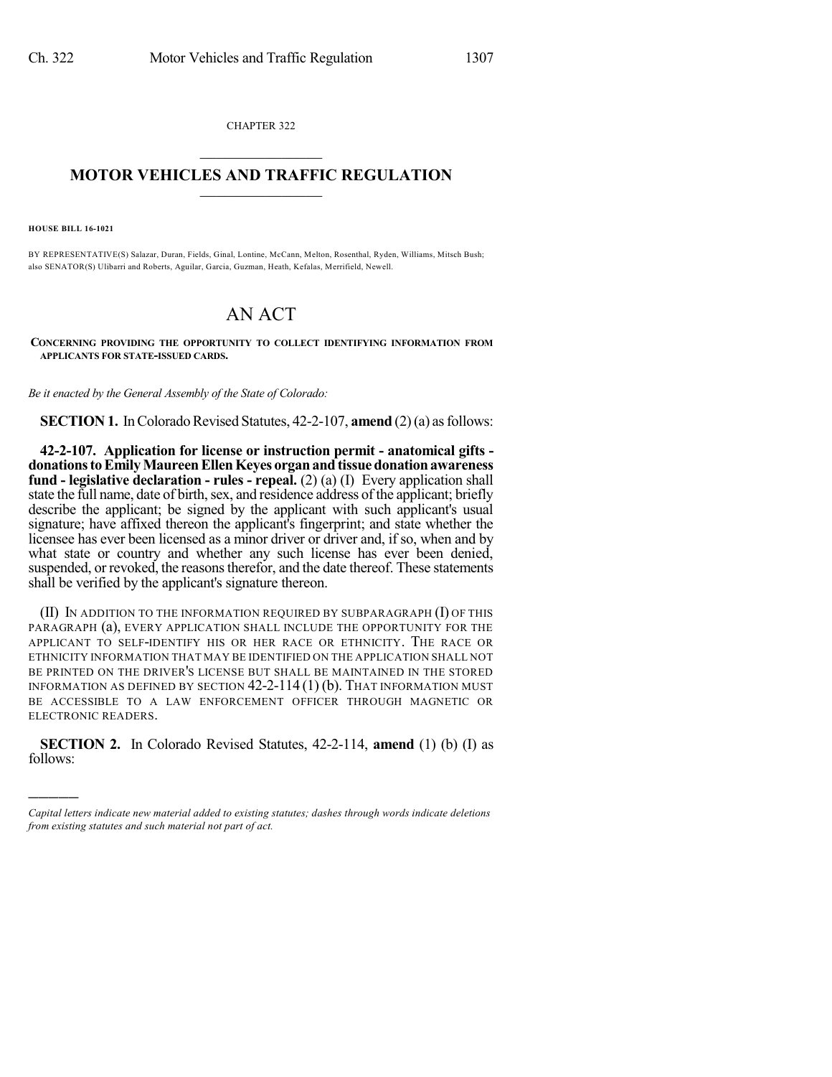CHAPTER 322  $\overline{\phantom{a}}$  . The set of the set of the set of the set of the set of the set of the set of the set of the set of the set of the set of the set of the set of the set of the set of the set of the set of the set of the set o

## **MOTOR VEHICLES AND TRAFFIC REGULATION**  $\frac{1}{2}$  ,  $\frac{1}{2}$  ,  $\frac{1}{2}$  ,  $\frac{1}{2}$  ,  $\frac{1}{2}$  ,  $\frac{1}{2}$  ,  $\frac{1}{2}$

**HOUSE BILL 16-1021**

)))))

BY REPRESENTATIVE(S) Salazar, Duran, Fields, Ginal, Lontine, McCann, Melton, Rosenthal, Ryden, Williams, Mitsch Bush; also SENATOR(S) Ulibarri and Roberts, Aguilar, Garcia, Guzman, Heath, Kefalas, Merrifield, Newell.

## AN ACT

**CONCERNING PROVIDING THE OPPORTUNITY TO COLLECT IDENTIFYING INFORMATION FROM APPLICANTS FOR STATE-ISSUED CARDS.**

*Be it enacted by the General Assembly of the State of Colorado:*

**SECTION 1.** In Colorado Revised Statutes, 42-2-107, **amend** (2)(a) as follows:

**42-2-107. Application for license or instruction permit - anatomical gifts donationstoEmilyMaureenEllenKeyes organandtissuedonationawareness fund - legislative declaration - rules - repeal.** (2) (a) (I) Every application shall state the full name, date of birth, sex, and residence address of the applicant; briefly describe the applicant; be signed by the applicant with such applicant's usual signature; have affixed thereon the applicant's fingerprint; and state whether the licensee has ever been licensed as a minor driver or driver and, if so, when and by what state or country and whether any such license has ever been denied, suspended, or revoked, the reasons therefor, and the date thereof. These statements shall be verified by the applicant's signature thereon.

(II) IN ADDITION TO THE INFORMATION REQUIRED BY SUBPARAGRAPH (I) OF THIS PARAGRAPH (a), EVERY APPLICATION SHALL INCLUDE THE OPPORTUNITY FOR THE APPLICANT TO SELF-IDENTIFY HIS OR HER RACE OR ETHNICITY. THE RACE OR ETHNICITY INFORMATION THAT MAY BE IDENTIFIED ON THE APPLICATION SHALL NOT BE PRINTED ON THE DRIVER'S LICENSE BUT SHALL BE MAINTAINED IN THE STORED INFORMATION AS DEFINED BY SECTION 42-2-114 (1) (b). THAT INFORMATION MUST BE ACCESSIBLE TO A LAW ENFORCEMENT OFFICER THROUGH MAGNETIC OR ELECTRONIC READERS.

**SECTION 2.** In Colorado Revised Statutes, 42-2-114, **amend** (1) (b) (I) as follows:

*Capital letters indicate new material added to existing statutes; dashes through words indicate deletions from existing statutes and such material not part of act.*